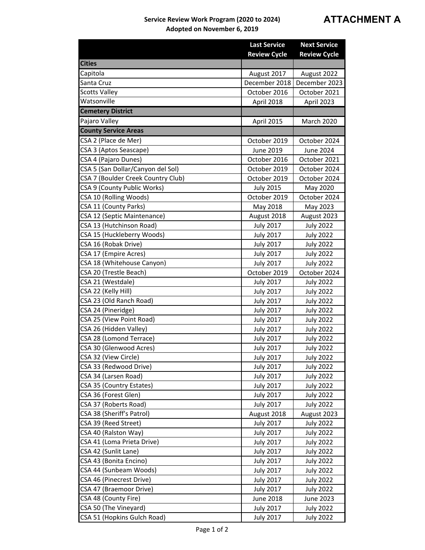## **Service Review Work Program (2020 to 2024) Adopted on November 6, 2019**

|                                    | <b>Last Service</b> | <b>Next Service</b> |
|------------------------------------|---------------------|---------------------|
|                                    | <b>Review Cycle</b> | <b>Review Cycle</b> |
| <b>Cities</b>                      |                     |                     |
| Capitola                           | August 2017         | August 2022         |
| Santa Cruz                         | December 2018       | December 2023       |
| <b>Scotts Valley</b>               | October 2016        | October 2021        |
| Watsonville                        | April 2018          | April 2023          |
| <b>Cemetery District</b>           |                     |                     |
| Pajaro Valley                      | April 2015          | <b>March 2020</b>   |
| <b>County Service Areas</b>        |                     |                     |
| CSA 2 (Place de Mer)               | October 2019        | October 2024        |
| CSA 3 (Aptos Seascape)             | June 2019           | June 2024           |
| CSA 4 (Pajaro Dunes)               | October 2016        | October 2021        |
| CSA 5 (San Dollar/Canyon del Sol)  | October 2019        | October 2024        |
| CSA 7 (Boulder Creek Country Club) | October 2019        | October 2024        |
| CSA 9 (County Public Works)        | <b>July 2015</b>    | May 2020            |
| CSA 10 (Rolling Woods)             | October 2019        | October 2024        |
| CSA 11 (County Parks)              | May 2018            | May 2023            |
| CSA 12 (Septic Maintenance)        | August 2018         | August 2023         |
| CSA 13 (Hutchinson Road)           | <b>July 2017</b>    | <b>July 2022</b>    |
| CSA 15 (Huckleberry Woods)         | <b>July 2017</b>    | <b>July 2022</b>    |
| CSA 16 (Robak Drive)               | <b>July 2017</b>    | <b>July 2022</b>    |
| CSA 17 (Empire Acres)              | <b>July 2017</b>    | <b>July 2022</b>    |
| CSA 18 (Whitehouse Canyon)         | <b>July 2017</b>    | <b>July 2022</b>    |
| CSA 20 (Trestle Beach)             | October 2019        | October 2024        |
| CSA 21 (Westdale)                  | <b>July 2017</b>    | <b>July 2022</b>    |
| CSA 22 (Kelly Hill)                | <b>July 2017</b>    | <b>July 2022</b>    |
| CSA 23 (Old Ranch Road)            | <b>July 2017</b>    | <b>July 2022</b>    |
| CSA 24 (Pineridge)                 | <b>July 2017</b>    | <b>July 2022</b>    |
| CSA 25 (View Point Road)           | <b>July 2017</b>    | <b>July 2022</b>    |
| CSA 26 (Hidden Valley)             | <b>July 2017</b>    | <b>July 2022</b>    |
| CSA 28 (Lomond Terrace)            | <b>July 2017</b>    | <b>July 2022</b>    |
| CSA 30 (Glenwood Acres)            | <b>July 2017</b>    | <b>July 2022</b>    |
| CSA 32 (View Circle)               | <b>July 2017</b>    | <b>July 2022</b>    |
| CSA 33 (Redwood Drive)             | <b>July 2017</b>    | <b>July 2022</b>    |
| CSA 34 (Larsen Road)               | <b>July 2017</b>    | <b>July 2022</b>    |
| CSA 35 (Country Estates)           | <b>July 2017</b>    | <b>July 2022</b>    |
| CSA 36 (Forest Glen)               | <b>July 2017</b>    | <b>July 2022</b>    |
| CSA 37 (Roberts Road)              | <b>July 2017</b>    | <b>July 2022</b>    |
| CSA 38 (Sheriff's Patrol)          | August 2018         | August 2023         |
| CSA 39 (Reed Street)               | <b>July 2017</b>    | <b>July 2022</b>    |
| CSA 40 (Ralston Way)               | <b>July 2017</b>    | <b>July 2022</b>    |
| CSA 41 (Loma Prieta Drive)         | <b>July 2017</b>    | <b>July 2022</b>    |
| CSA 42 (Sunlit Lane)               | <b>July 2017</b>    | <b>July 2022</b>    |
| CSA 43 (Bonita Encino)             | <b>July 2017</b>    | <b>July 2022</b>    |
| CSA 44 (Sunbeam Woods)             | <b>July 2017</b>    | <b>July 2022</b>    |
| CSA 46 (Pinecrest Drive)           | <b>July 2017</b>    | <b>July 2022</b>    |
| CSA 47 (Braemoor Drive)            | <b>July 2017</b>    | <b>July 2022</b>    |
| CSA 48 (County Fire)               | June 2018           | June 2023           |
| CSA 50 (The Vineyard)              | <b>July 2017</b>    | <b>July 2022</b>    |
| CSA 51 (Hopkins Gulch Road)        | <b>July 2017</b>    | <b>July 2022</b>    |